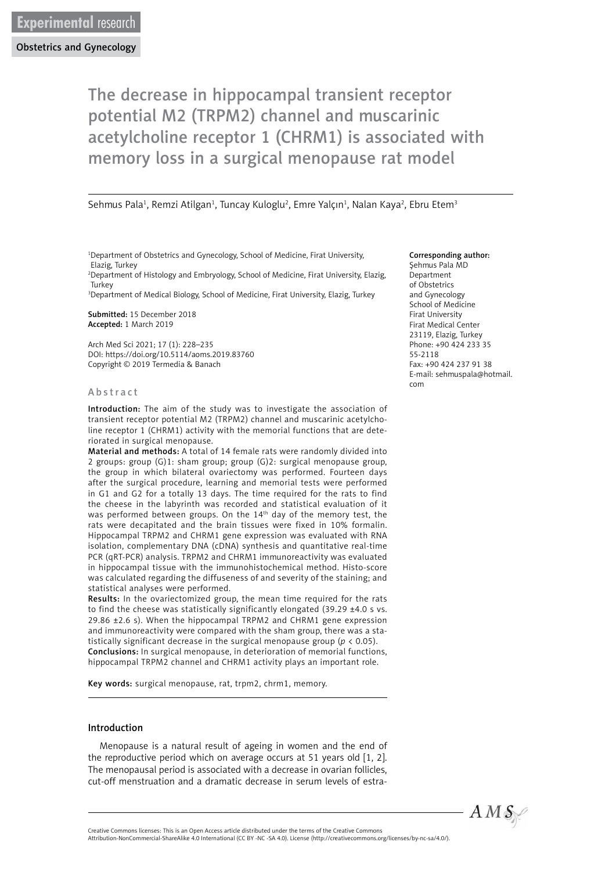# The decrease in hippocampal transient receptor potential M2 (TRPM2) channel and muscarinic acetylcholine receptor 1 (CHRM1) is associated with memory loss in a surgical menopause rat model

#### Sehmus Pala<sup>1</sup>, Remzi Atilgan<sup>1</sup>, Tuncay Kuloglu<sup>2</sup>, Emre Yalçın<sup>1</sup>, Nalan Kaya<sup>2</sup>, Ebru Etem<sup>3</sup>

1 Department of Obstetrics and Gynecology, School of Medicine, Firat University, Elazig, Turkey

2 Department of Histology and Embryology, School of Medicine, Firat University, Elazig, **Turkey** 

<sup>3</sup>Department of Medical Biology, School of Medicine, Firat University, Elazig, Turkey

Submitted: 15 December 2018 Accepted: 1 March 2019

Arch Med Sci 2021; 17 (1): 228–235 DOI: https://doi.org/10.5114/aoms.2019.83760 Copyright © 2019 Termedia & Banach

#### A b s t r a c t

Introduction: The aim of the study was to investigate the association of transient receptor potential M2 (TRPM2) channel and muscarinic acetylcholine receptor 1 (CHRM1) activity with the memorial functions that are deteriorated in surgical menopause.

Material and methods: A total of 14 female rats were randomly divided into 2 groups: group (G)1: sham group; group (G)2: surgical menopause group, the group in which bilateral ovariectomy was performed. Fourteen days after the surgical procedure, learning and memorial tests were performed in G1 and G2 for a totally 13 days. The time required for the rats to find the cheese in the labyrinth was recorded and statistical evaluation of it was performed between groups. On the 14<sup>th</sup> day of the memory test, the rats were decapitated and the brain tissues were fixed in 10% formalin. Hippocampal TRPM2 and CHRM1 gene expression was evaluated with RNA isolation, complementary DNA (cDNA) synthesis and quantitative real-time PCR (qRT-PCR) analysis. TRPM2 and CHRM1 immunoreactivity was evaluated in hippocampal tissue with the immunohistochemical method. Histo-score was calculated regarding the diffuseness of and severity of the staining; and statistical analyses were performed.

Results: In the ovariectomized group, the mean time required for the rats to find the cheese was statistically significantly elongated (39.29 ±4.0 s vs. 29.86 ±2.6 s). When the hippocampal TRPM2 and CHRM1 gene expression and immunoreactivity were compared with the sham group, there was a statistically significant decrease in the surgical menopause group ( $p < 0.05$ ). Conclusions: In surgical menopause, in deterioration of memorial functions, hippocampal TRPM2 channel and CHRM1 activity plays an important role.

Key words: surgical menopause, rat, trpm2, chrm1, memory.

#### Introduction

Menopause is a natural result of ageing in women and the end of the reproductive period which on average occurs at 51 years old [1, 2]. The menopausal period is associated with a decrease in ovarian follicles, cut-off menstruation and a dramatic decrease in serum levels of estra-

#### Corresponding author:

Şehmus Pala MD Department of Obstetrics and Gynecology School of Medicine Firat University Firat Medical Center 23119, Elazig, Turkey Phone: +90 424 233 35 55-2118 Fax: +90 424 237 91 38 E-mail: sehmuspala@hotmail. com



Attribution-NonCommercial-ShareAlike 4.0 International (CC BY -NC -SA 4.0). License (http://creativecommons.org/licenses/by-nc-sa/4.0/).

Creative Commons licenses: This is an Open Access article distributed under the terms of the Creative Commons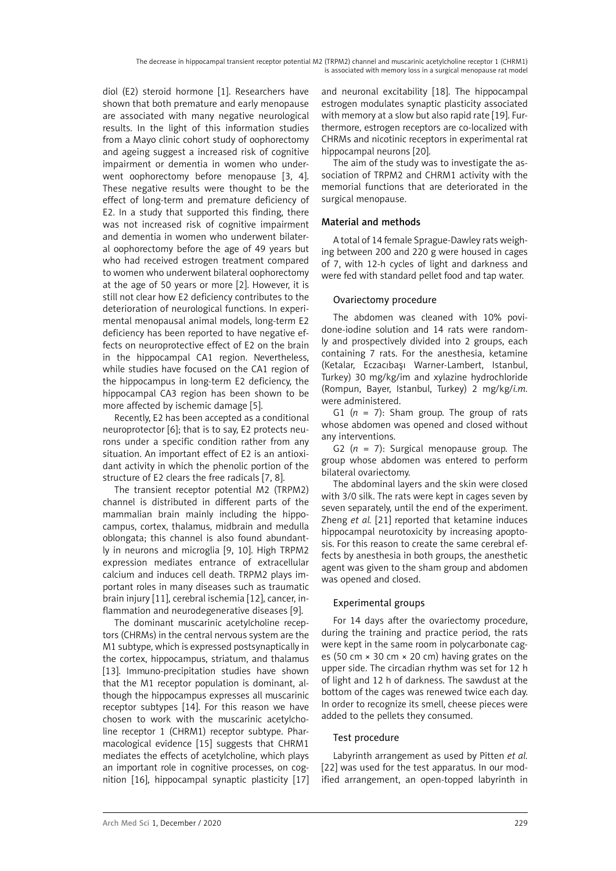diol (E2) steroid hormone [1]. Researchers have shown that both premature and early menopause are associated with many negative neurological results. In the light of this information studies from a Mayo clinic cohort study of oophorectomy and ageing suggest a increased risk of cognitive impairment or dementia in women who underwent oophorectomy before menopause [3, 4]. These negative results were thought to be the effect of long-term and premature deficiency of E2. In a study that supported this finding, there was not increased risk of cognitive impairment and dementia in women who underwent bilateral oophorectomy before the age of 49 years but who had received estrogen treatment compared to women who underwent bilateral oophorectomy at the age of 50 years or more [2]. However, it is still not clear how E2 deficiency contributes to the deterioration of neurological functions. In experimental menopausal animal models, long-term E2 deficiency has been reported to have negative effects on neuroprotective effect of E2 on the brain in the hippocampal CA1 region. Nevertheless, while studies have focused on the CA1 region of the hippocampus in long-term E2 deficiency, the hippocampal CA3 region has been shown to be more affected by ischemic damage [5].

Recently, E2 has been accepted as a conditional neuroprotector [6]; that is to say, E2 protects neurons under a specific condition rather from any situation. An important effect of E2 is an antioxidant activity in which the phenolic portion of the structure of E2 clears the free radicals [7, 8].

The transient receptor potential M2 (TRPM2) channel is distributed in different parts of the mammalian brain mainly including the hippocampus, cortex, thalamus, midbrain and medulla oblongata; this channel is also found abundantly in neurons and microglia [9, 10]. High TRPM2 expression mediates entrance of extracellular calcium and induces cell death. TRPM2 plays important roles in many diseases such as traumatic brain injury [11], cerebral ischemia [12], cancer, inflammation and neurodegenerative diseases [9].

The dominant muscarinic acetylcholine receptors (CHRMs) in the central nervous system are the M1 subtype, which is expressed postsynaptically in the cortex, hippocampus, striatum, and thalamus [13]. Immuno-precipitation studies have shown that the M1 receptor population is dominant, although the hippocampus expresses all muscarinic receptor subtypes [14]. For this reason we have chosen to work with the muscarinic acetylcholine receptor 1 (CHRM1) receptor subtype. Pharmacological evidence [15] suggests that CHRM1 mediates the effects of acetylcholine, which plays an important role in cognitive processes, on cognition [16], hippocampal synaptic plasticity [17] and neuronal excitability [18]. The hippocampal estrogen modulates synaptic plasticity associated with memory at a slow but also rapid rate [19]. Furthermore, estrogen receptors are co-localized with CHRMs and nicotinic receptors in experimental rat hippocampal neurons [20].

The aim of the study was to investigate the association of TRPM2 and CHRM1 activity with the memorial functions that are deteriorated in the surgical menopause.

# Material and methods

A total of 14 female Sprague-Dawley rats weighing between 200 and 220 g were housed in cages of 7, with 12-h cycles of light and darkness and were fed with standard pellet food and tap water.

# Ovariectomy procedure

The abdomen was cleaned with 10% povidone-iodine solution and 14 rats were randomly and prospectively divided into 2 groups, each containing 7 rats. For the anesthesia, ketamine (Ketalar, Eczacıbaşı Warner-Lambert, Istanbul, Turkey) 30 mg/kg/im and xylazine hydrochloride (Rompun, Bayer, Istanbul, Turkey) 2 mg/kg/*i.m.* were administered.

G1  $(n = 7)$ : Sham group. The group of rats whose abdomen was opened and closed without any interventions.

G2 (*n* = 7): Surgical menopause group. The group whose abdomen was entered to perform bilateral ovariectomy.

The abdominal layers and the skin were closed with 3/0 silk. The rats were kept in cages seven by seven separately, until the end of the experiment. Zheng *et al.* [21] reported that ketamine induces hippocampal neurotoxicity by increasing apoptosis. For this reason to create the same cerebral effects by anesthesia in both groups, the anesthetic agent was given to the sham group and abdomen was opened and closed.

# Experimental groups

For 14 days after the ovariectomy procedure, during the training and practice period, the rats were kept in the same room in polycarbonate cages (50 cm × 30 cm × 20 cm) having grates on the upper side. The circadian rhythm was set for 12 h of light and 12 h of darkness. The sawdust at the bottom of the cages was renewed twice each day. In order to recognize its smell, cheese pieces were added to the pellets they consumed.

# Test procedure

Labyrinth arrangement as used by Pitten *et al.* [22] was used for the test apparatus. In our modified arrangement, an open-topped labyrinth in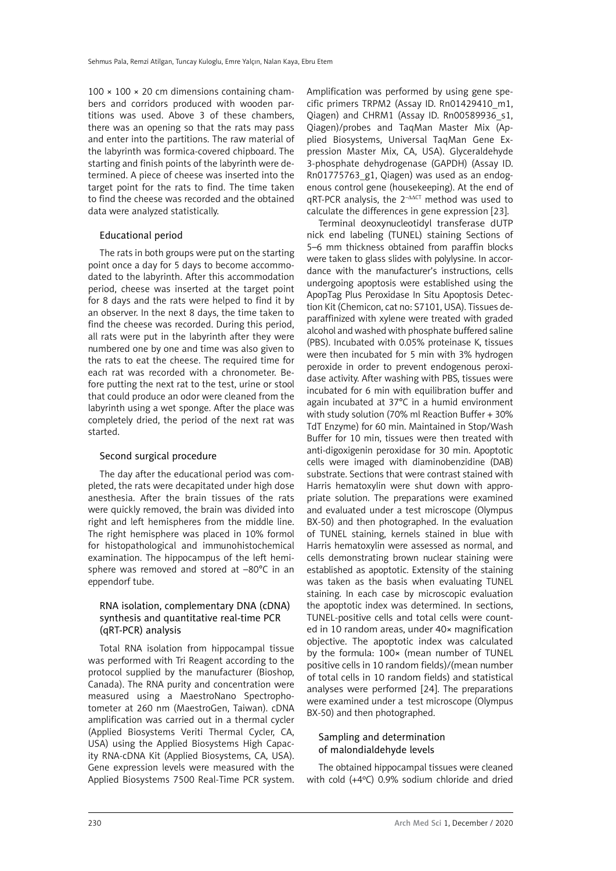$100 \times 100 \times 20$  cm dimensions containing chambers and corridors produced with wooden partitions was used. Above 3 of these chambers, there was an opening so that the rats may pass and enter into the partitions. The raw material of the labyrinth was formica-covered chipboard. The starting and finish points of the labyrinth were determined. A piece of cheese was inserted into the target point for the rats to find. The time taken to find the cheese was recorded and the obtained data were analyzed statistically.

## Educational period

The rats in both groups were put on the starting point once a day for 5 days to become accommodated to the labyrinth. After this accommodation period, cheese was inserted at the target point for 8 days and the rats were helped to find it by an observer. In the next 8 days, the time taken to find the cheese was recorded. During this period, all rats were put in the labyrinth after they were numbered one by one and time was also given to the rats to eat the cheese. The required time for each rat was recorded with a chronometer. Before putting the next rat to the test, urine or stool that could produce an odor were cleaned from the labyrinth using a wet sponge. After the place was completely dried, the period of the next rat was started.

# Second surgical procedure

The day after the educational period was completed, the rats were decapitated under high dose anesthesia. After the brain tissues of the rats were quickly removed, the brain was divided into right and left hemispheres from the middle line. The right hemisphere was placed in 10% formol for histopathological and immunohistochemical examination. The hippocampus of the left hemisphere was removed and stored at –80°C in an eppendorf tube.

# RNA isolation, complementary DNA (cDNA) synthesis and quantitative real-time PCR (qRT-PCR) analysis

Total RNA isolation from hippocampal tissue was performed with Tri Reagent according to the protocol supplied by the manufacturer (Bioshop, Canada). The RNA purity and concentration were measured using a MaestroNano Spectrophotometer at 260 nm (MaestroGen, Taiwan). cDNA amplification was carried out in a thermal cycler ([Applied Biosystems Veriti Thermal Cycler,](https://www.thermofisher.com/us/en/home/life-science/pcr/thermal-cyclers-realtime-instruments/thermal-cyclers/veriti-thermal-cycler.html) CA, USA) using the Applied Biosystems High Capacity RNA-cDNA Kit (Applied Biosystems, CA, USA). Gene expression levels were measured with the Applied Biosystems 7500 Real-Time PCR system.

Amplification was performed by using gene specific primers TRPM2 (Assay ID. Rn01429410\_m1, Qiagen) and CHRM1 (Assay ID. Rn00589936 s1, Qiagen)/probes and TaqMan Master Mix (Applied Biosystems, Universal TaqMan Gene Expression Master Mix, CA, USA). Glyceraldehyde 3-phosphate dehydrogenase (GAPDH) (Assay ID. Rn01775763\_g1, Qiagen) was used as an endogenous control gene (housekeeping). At the end of qRT-PCR analysis, the 2<sup>-∆∆CT</sup> method was used to calculate the differences in gene expression [23].

Terminal deoxynucleotidyl transferase dUTP nick end labeling (TUNEL) staining Sections of 5–6 mm thickness obtained from paraffin blocks were taken to glass slides with polylysine. In accordance with the manufacturer's instructions, cells undergoing apoptosis were established using the ApopTag Plus Peroxidase In Situ Apoptosis Detection Kit (Chemicon, cat no: S7101, USA). Tissues deparaffinized with xylene were treated with graded alcohol and washed with phosphate buffered saline (PBS). Incubated with 0.05% proteinase K, tissues were then incubated for 5 min with 3% hydrogen peroxide in order to prevent endogenous peroxidase activity. After washing with PBS, tissues were incubated for 6 min with equilibration buffer and again incubated at 37°C in a humid environment with study solution (70% ml Reaction Buffer + 30% TdT Enzyme) for 60 min. Maintained in Stop/Wash Buffer for 10 min, tissues were then treated with anti-digoxigenin peroxidase for 30 min. Apoptotic cells were imaged with diaminobenzidine (DAB) substrate. Sections that were contrast stained with Harris hematoxylin were shut down with appropriate solution. The preparations were examined and evaluated under a test microscope (Olympus BX-50) and then photographed. In the evaluation of TUNEL staining, kernels stained in blue with Harris hematoxylin were assessed as normal, and cells demonstrating brown nuclear staining were established as apoptotic. Extensity of the staining was taken as the basis when evaluating TUNEL staining. In each case by microscopic evaluation the apoptotic index was determined. In sections, TUNEL-positive cells and total cells were counted in 10 random areas, under 40× magnification objective. The apoptotic index was calculated by the formula: 100× (mean number of TUNEL positive cells in 10 random fields)/(mean number of total cells in 10 random fields) and statistical analyses were performed [24]. The preparations were examined under a test microscope (Olympus BX-50) and then photographed.

# Sampling and determination of malondialdehyde levels

The obtained hippocampal tissues were cleaned with cold (+4ºC) 0.9% sodium chloride and dried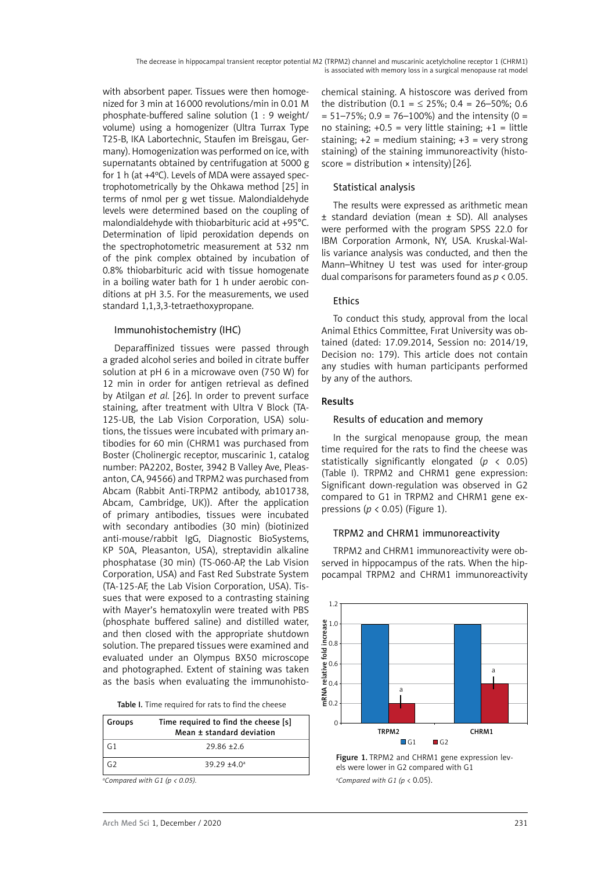with absorbent paper. Tissues were then homogenized for 3 min at 16000 revolutions/min in 0.01 M phosphate-buffered saline solution (1 : 9 weight/ volume) using a homogenizer (Ultra Turrax Type T25-B, IKA Labortechnic, Staufen im Breisgau, Germany). Homogenization was performed on ice, with supernatants obtained by centrifugation at 5000 g for 1 h (at +4ºC). Levels of MDA were assayed spectrophotometrically by the Ohkawa method [25] in terms of nmol per g wet tissue. Malondialdehyde levels were determined based on the coupling of malondialdehyde with thiobarbituric acid at +95°C. Determination of lipid peroxidation depends on the spectrophotometric measurement at 532 nm of the pink complex obtained by incubation of 0.8% thiobarbituric acid with tissue homogenate in a boiling water bath for 1 h under aerobic conditions at pH 3.5. For the measurements, we used standard 1,1,3,3-tetraethoxypropane.

## Immunohistochemistry (IHC)

Deparaffinized tissues were passed through a graded alcohol series and boiled in citrate buffer solution at pH 6 in a microwave oven (750 W) for 12 min in order for antigen retrieval as defined by Atilgan *et al.* [26]. In order to prevent surface staining, after treatment with Ultra V Block (TA-125-UB, the Lab Vision Corporation, USA) solutions, the tissues were incubated with primary antibodies for 60 min (CHRM1 was purchased from Boster (Cholinergic receptor, muscarinic 1, catalog number: PA2202, Boster, 3942 B Valley Ave, Pleasanton, CA, 94566) and TRPM2 was purchased from Abcam (Rabbit Anti-TRPM2 antibody, ab101738, Abcam, Cambridge, UK)). After the application of primary antibodies, tissues were incubated with secondary antibodies (30 min) (biotinized anti-mouse/rabbit IgG, Diagnostic BioSystems, KP 50A, Pleasanton, USA), streptavidin alkaline phosphatase (30 min) (TS-060-AP, the Lab Vision Corporation, USA) and Fast Red Substrate System (TA-125-AF, the Lab Vision Corporation, USA). Tissues that were exposed to a contrasting staining with Mayer's hematoxylin were treated with PBS (phosphate buffered saline) and distilled water, and then closed with the appropriate shutdown solution. The prepared tissues were examined and evaluated under an Olympus BX50 microscope and photographed. Extent of staining was taken as the basis when evaluating the immunohisto-

Table I. Time required for rats to find the cheese

| <b>Groups</b> | Time required to find the cheese [s]<br>Mean ± standard deviation |  |  |  |
|---------------|-------------------------------------------------------------------|--|--|--|
|               | $79.86 + 2.6$                                                     |  |  |  |
| G2            | $39.29 + 4.0a$                                                    |  |  |  |
|               | .                                                                 |  |  |  |

*a Compared with G1 (p < 0.05).*

chemical staining. A histoscore was derived from the distribution  $(0.1 = 525\%; 0.4 = 26-50\%; 0.6$  $= 51 - 75\%$ ; 0.9 = 76-100%) and the intensity (0 = no staining;  $+0.5$  = very little staining;  $+1$  = little staining;  $+2$  = medium staining;  $+3$  = very strong staining) of the staining immunoreactivity (histoscore = distribution  $\times$  intensity) [26].

#### Statistical analysis

The results were expressed as arithmetic mean  $±$  standard deviation (mean  $±$  SD). All analyses were performed with the program SPSS 22.0 for IBM Corporation Armonk, NY, USA. Kruskal-Wallis variance analysis was conducted, and then the Mann–Whitney U test was used for inter-group dual comparisons for parameters found as *p* < 0.05.

## Ethics

To conduct this study, approval from the local Animal Ethics Committee, Fırat University was obtained (dated: 17.09.2014, Session no: 2014/19, Decision no: 179). This article does not contain any studies with human participants performed by any of the authors.

## Results

## Results of education and memory

In the surgical menopause group, the mean time required for the rats to find the cheese was statistically significantly elongated (*p* < 0.05) (Table I). TRPM2 and CHRM1 gene expression: Significant down-regulation was observed in G2 compared to G1 in TRPM2 and CHRM1 gene expressions (*p* < 0.05) (Figure 1).

#### TRPM2 and CHRM1 immunoreactivity

TRPM2 and CHRM1 immunoreactivity were observed in hippocampus of the rats. When the hippocampal TRPM2 and CHRM1 immunoreactivity



Figure 1. TRPM2 and CHRM1 gene expression levels were lower in G2 compared with G1 *a Compared with G1 (p* < 0.05).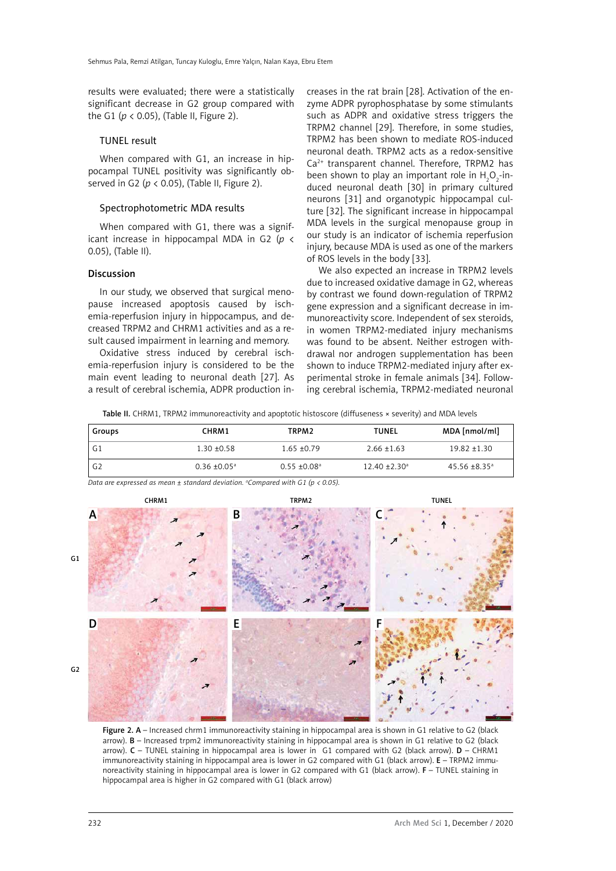results were evaluated; there were a statistically significant decrease in G2 group compared with the G1 ( $p < 0.05$ ), (Table II, Figure 2).

#### TUNEL result

When compared with G1, an increase in hippocampal TUNEL positivity was significantly observed in G2 (*p* < 0.05), (Table II, Figure 2).

#### Spectrophotometric MDA results

When compared with G1, there was a significant increase in hippocampal MDA in G2 (*p* < 0.05), (Table II).

#### Discussion

In our study, we observed that surgical menopause increased apoptosis caused by ischemia-reperfusion injury in hippocampus, and decreased TRPM2 and CHRM1 activities and as a result caused impairment in learning and memory.

Oxidative stress induced by cerebral ischemia-reperfusion injury is considered to be the main event leading to neuronal death [27]. As a result of cerebral ischemia, ADPR production increases in the rat brain [28]. Activation of the enzyme ADPR pyrophosphatase by some stimulants such as ADPR and oxidative stress triggers the TRPM2 channel [29]. Therefore, in some studies, TRPM2 has been shown to mediate ROS-induced neuronal death. TRPM2 acts as a redox-sensitive Ca2+ transparent channel. Therefore, TRPM2 has been shown to play an important role in  $H_2O_2$ -induced neuronal death [30] in primary cultured neurons [31] and organotypic hippocampal culture [32]. The significant increase in hippocampal MDA levels in the surgical menopause group in our study is an indicator of ischemia reperfusion injury, because MDA is used as one of the markers of ROS levels in the body [33].

We also expected an increase in TRPM2 levels due to increased oxidative damage in G2, whereas by contrast we found down-regulation of TRPM2 gene expression and a significant decrease in immunoreactivity score. Independent of sex steroids, in women TRPM2-mediated injury mechanisms was found to be absent. Neither estrogen withdrawal nor androgen supplementation has been shown to induce TRPM2-mediated injury after experimental stroke in female animals [34]. Following cerebral ischemia, TRPM2-mediated neuronal

Table II. CHRM1, TRPM2 immunoreactivity and apoptotic histoscore (diffuseness × severity) and MDA levels

| Groups         | CHRM1                      | TRPM <sub>2</sub>          | <b>TUNEL</b>                  | MDA [nmol/ml]               |
|----------------|----------------------------|----------------------------|-------------------------------|-----------------------------|
| G1             | $1.30 + 0.58$              | $1.65 + 0.79$              | $2.66 \pm 1.63$               | $19.82 + 1.30$              |
| G <sub>2</sub> | $0.36 \pm 0.05^{\text{a}}$ | $0.55 + 0.08$ <sup>a</sup> | $12.40 \pm 2.30$ <sup>a</sup> | $45.56 + 8.35$ <sup>a</sup> |

*Data are expressed as mean ± standard deviation. a Compared with G1 (p < 0.05).*



Figure 2. A – Increased chrm1 immunoreactivity staining in hippocampal area is shown in G1 relative to G2 (black arrow). B – Increased trpm2 immunoreactivity staining in hippocampal area is shown in G1 relative to G2 (black arrow). C – TUNEL staining in hippocampal area is lower in G1 compared with G2 (black arrow). D – CHRM1 immunoreactivity staining in hippocampal area is lower in G2 compared with G1 (black arrow). E – TRPM2 immunoreactivity staining in hippocampal area is lower in G2 compared with G1 (black arrow). F – TUNEL staining in hippocampal area is higher in G2 compared with G1 (black arrow)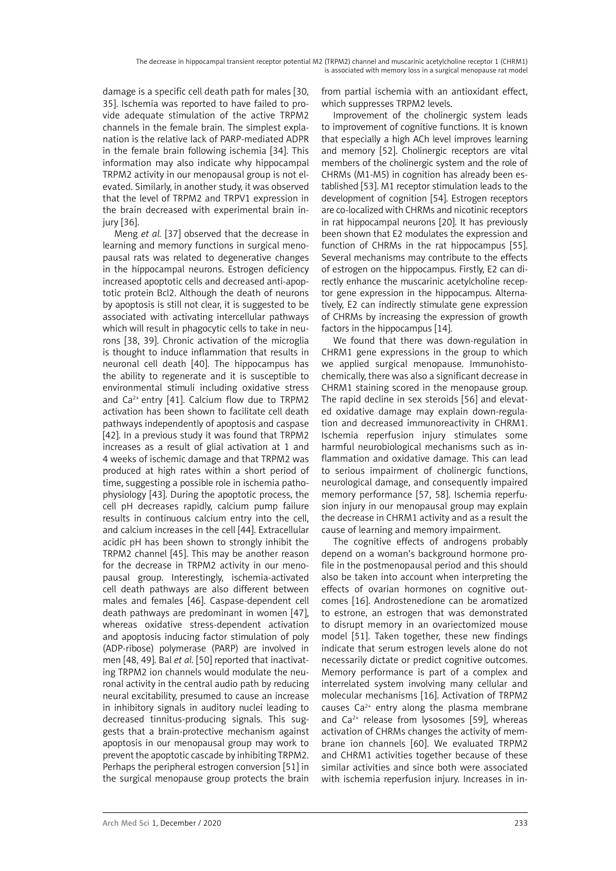damage is a specific cell death path for males [30, 35]. Ischemia was reported to have failed to provide adequate stimulation of the active TRPM2 channels in the female brain. The simplest explanation is the relative lack of PARP-mediated ADPR in the female brain following ischemia [34]. This information may also indicate why hippocampal TRPM2 activity in our menopausal group is not elevated. Similarly, in another study, it was observed that the level of TRPM2 and TRPV1 expression in the brain decreased with experimental brain injury [36].

Meng *et al.* [37] observed that the decrease in learning and memory functions in surgical menopausal rats was related to degenerative changes in the hippocampal neurons. Estrogen deficiency increased apoptotic cells and decreased anti-apoptotic protein Bcl2. Although the death of neurons by apoptosis is still not clear, it is suggested to be associated with activating intercellular pathways which will result in phagocytic cells to take in neurons [38, 39]. Chronic activation of the microglia is thought to induce inflammation that results in neuronal cell death [40]. The hippocampus has the ability to regenerate and it is susceptible to environmental stimuli including oxidative stress and  $Ca^{2+}$  entry [41]. Calcium flow due to TRPM2 activation has been shown to facilitate cell death pathways independently of apoptosis and caspase [42]. In a previous study it was found that TRPM2 increases as a result of glial activation at 1 and 4 weeks of ischemic damage and that TRPM2 was produced at high rates within a short period of time, suggesting a possible role in ischemia pathophysiology [43]. During the apoptotic process, the cell pH decreases rapidly, calcium pump failure results in continuous calcium entry into the cell, and calcium increases in the cell [44]. Extracellular acidic pH has been shown to strongly inhibit the TRPM2 channel [45]. This may be another reason for the decrease in TRPM2 activity in our menopausal group. Interestingly, ischemia-activated cell death pathways are also different between males and females [46]. Caspase-dependent cell death pathways are predominant in women [47], whereas oxidative stress-dependent activation and apoptosis inducing factor stimulation of poly (ADP-ribose) polymerase (PARP) are involved in men [48, 49]. Bal *et al.* [50] reported that inactivating TRPM2 ion channels would modulate the neuronal activity in the central audio path by reducing neural excitability, presumed to cause an increase in inhibitory signals in auditory nuclei leading to decreased tinnitus-producing signals. This suggests that a brain-protective mechanism against apoptosis in our menopausal group may work to prevent the apoptotic cascade by inhibiting TRPM2. Perhaps the peripheral estrogen conversion [51] in the surgical menopause group protects the brain

from partial ischemia with an antioxidant effect, which suppresses TRPM2 levels.

Improvement of the cholinergic system leads to improvement of cognitive functions. It is known that especially a high ACh level improves learning and memory [52]. Cholinergic receptors are vital members of the cholinergic system and the role of CHRMs (M1-M5) in cognition has already been established [53]. M1 receptor stimulation leads to the development of cognition [54]. Estrogen receptors are co-localized with CHRMs and nicotinic receptors in rat hippocampal neurons [20]. It has previously been shown that E2 modulates the expression and function of CHRMs in the rat hippocampus [55]. Several mechanisms may contribute to the effects of estrogen on the hippocampus. Firstly, E2 can directly enhance the muscarinic acetylcholine receptor gene expression in the hippocampus. Alternatively, E2 can indirectly stimulate gene expression of CHRMs by increasing the expression of growth factors in the hippocampus [14].

We found that there was down-regulation in CHRM1 gene expressions in the group to which we applied surgical menopause. Immunohistochemically, there was also a significant decrease in CHRM1 staining scored in the menopause group. The rapid decline in sex steroids [56] and elevated oxidative damage may explain down-regulation and decreased immunoreactivity in CHRM1. Ischemia reperfusion injury stimulates some harmful neurobiological mechanisms such as inflammation and oxidative damage. This can lead to serious impairment of cholinergic functions, neurological damage, and consequently impaired memory performance [57, 58]. Ischemia reperfusion injury in our menopausal group may explain the decrease in CHRM1 activity and as a result the cause of learning and memory impairment.

The cognitive effects of androgens probably depend on a woman's background hormone profile in the postmenopausal period and this should also be taken into account when interpreting the effects of ovarian hormones on cognitive outcomes [16]. Androstenedione can be aromatized to estrone, an estrogen that was demonstrated to disrupt memory in an ovariectomized mouse model [51]. Taken together, these new findings indicate that serum estrogen levels alone do not necessarily dictate or predict cognitive outcomes. Memory performance is part of a complex and interrelated system involving many cellular and molecular mechanisms [16]. Activation of TRPM2 causes  $Ca^{2+}$  entry along the plasma membrane and  $Ca<sup>2+</sup>$  release from lysosomes [59], whereas activation of CHRMs changes the activity of membrane ion channels [60]. We evaluated TRPM2 and CHRM1 activities together because of these similar activities and since both were associated with ischemia reperfusion injury. Increases in in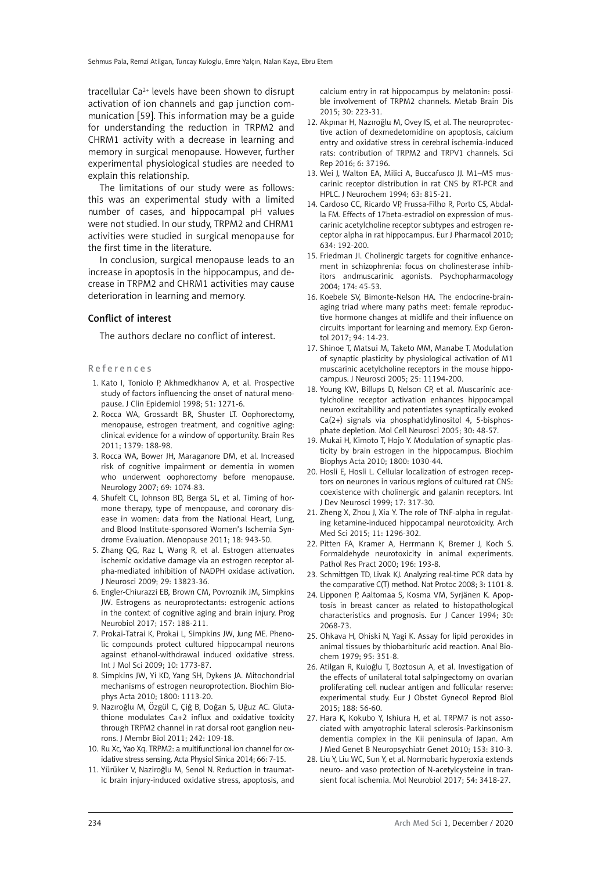tracellular  $Ca^{2+}$  levels have been shown to disrupt activation of ion channels and gap junction communication [59]. This information may be a guide for understanding the reduction in TRPM2 and CHRM1 activity with a decrease in learning and memory in surgical menopause. However, further experimental physiological studies are needed to explain this relationship.

The limitations of our study were as follows: this was an experimental study with a limited number of cases, and hippocampal pH values were not studied. In our study, TRPM2 and CHRM1 activities were studied in surgical menopause for the first time in the literature.

In conclusion, surgical menopause leads to an increase in apoptosis in the hippocampus, and decrease in TRPM2 and CHRM1 activities may cause deterioration in learning and memory.

#### Conflict of interest

The authors declare no conflict of interest.

#### References

- 1. Kato I, Toniolo P, Akhmedkhanov A, et al. Prospective study of factors influencing the onset of natural menopause. J Clin Epidemiol 1998; 51: 1271-6.
- 2. Rocca WA, Grossardt BR, Shuster LT. Oophorectomy, menopause, estrogen treatment, and cognitive aging: clinical evidence for a window of opportunity. Brain Res 2011; 1379: 188-98.
- 3. Rocca WA, Bower JH, Maraganore DM, et al. Increased risk of cognitive impairment or dementia in women who underwent oophorectomy before menopause. Neurology 2007; 69: 1074-83.
- 4. Shufelt CL, Johnson BD, Berga SL, et al. Timing of hormone therapy, type of menopause, and coronary disease in women: data from the National Heart, Lung, and Blood Institute-sponsored Women's Ischemia Syndrome Evaluation. Menopause 2011; 18: 943-50.
- 5. Zhang QG, Raz L, Wang R, et al. Estrogen attenuates ischemic oxidative damage via an estrogen receptor alpha-mediated inhibition of NADPH oxidase activation. J Neurosci 2009; 29: 13823-36.
- 6. Engler-Chiurazzi EB, Brown CM, Povroznik JM, Simpkins JW. Estrogens as neuroprotectants: estrogenic actions in the context of cognitive aging and brain injury. Prog Neurobiol 2017; 157: 188-211.
- 7. Prokai-Tatrai K, Prokai L, Simpkins JW, Jung ME. Phenolic compounds protect cultured hippocampal neurons against ethanol-withdrawal induced oxidative stress. Int J Mol Sci 2009; 10: 1773-87.
- 8. Simpkins JW, Yi KD, Yang SH, Dykens JA. Mitochondrial mechanisms of estrogen neuroprotection. Biochim Biophys Acta 2010; 1800: 1113-20.
- 9. Nazıroğlu M, Özgül C, Çiğ B, Doğan S, Uğuz AC. Glutathione modulates Ca+2 influx and oxidative toxicity through TRPM2 channel in rat dorsal root ganglion neurons. J Membr Biol 2011; 242: 109-18.
- 10. Ru Xc, Yao Xq. TRPM2: a multifunctional ion channel for oxidative stress sensing. Acta Physiol Sinica 2014; 66: 7-15.
- 11. Yürüker V, Naziroğlu M, Senol N. Reduction in traumatic brain injury-induced oxidative stress, apoptosis, and

calcium entry in rat hippocampus by melatonin: possible involvement of TRPM2 channels. Metab Brain Dis 2015; 30: 223-31.

- 12. Akpınar H, Nazıroğlu M, Ovey IS, et al. The neuroprotective action of dexmedetomidine on apoptosis, calcium entry and oxidative stress in cerebral ischemia-induced rats: contribution of TRPM2 and TRPV1 channels. Sci Rep 2016; 6: 37196.
- 13. Wei J, Walton EA, Milici A, Buccafusco JJ. M1–M5 muscarinic receptor distribution in rat CNS by RT-PCR and HPLC. J Neurochem 1994; 63: 815-21.
- 14. Cardoso CC, Ricardo VP, Frussa-Filho R, Porto CS, Abdalla FM. Effects of 17beta-estradiol on expression of muscarinic acetylcholine receptor subtypes and estrogen receptor alpha in rat hippocampus. Eur J Pharmacol 2010; 634: 192-200.
- 15. Friedman JI. Cholinergic targets for cognitive enhancement in schizophrenia: focus on cholinesterase inhibitors andmuscarinic agonists. Psychopharmacology 2004; 174: 45-53.
- 16. Koebele SV, Bimonte-Nelson HA. The endocrine-brainaging triad where many paths meet: female reproductive hormone changes at midlife and their influence on circuits important for learning and memory. Exp Gerontol 2017; 94: 14-23.
- 17. Shinoe T, Matsui M, Taketo MM, Manabe T. Modulation of synaptic plasticity by physiological activation of M1 muscarinic acetylcholine receptors in the mouse hippocampus. J Neurosci 2005; 25: 11194-200.
- 18. Young KW, Billups D, Nelson CP, et al. Muscarinic acetylcholine receptor activation enhances hippocampal neuron excitability and potentiates synaptically evoked Ca(2+) signals via phosphatidylinositol 4, 5-bisphosphate depletion. Mol Cell Neurosci 2005; 30: 48-57.
- 19. Mukai H, Kimoto T, Hojo Y. Modulation of synaptic plasticity by brain estrogen in the hippocampus. Biochim Biophys Acta 2010; 1800: 1030-44.
- 20. Hosli E, Hosli L. Cellular localization of estrogen receptors on neurones in various regions of cultured rat CNS: coexistence with cholinergic and galanin receptors. Int J Dev Neurosci 1999; 17: 317-30.
- 21. Zheng X, Zhou J, Xia Y. The role of TNF-alpha in regulating ketamine-induced hippocampal neurotoxicity. Arch Med Sci 2015; 11: 1296-302.
- 22. Pitten FA, Kramer A, Herrmann K, Bremer J, Koch S. Formaldehyde neurotoxicity in animal experiments. Pathol Res Pract 2000; 196: 193-8.
- 23. Schmittgen TD, Livak KJ. Analyzing real-time PCR data by the comparative C(T) method. Nat Protoc 2008; 3: 1101-8.
- 24. Lipponen P, Aaltomaa S, Kosma VM, Syrjänen K. Apoptosis in breast cancer as related to histopathological characteristics and prognosis. Eur J Cancer 1994; 30: 2068-73.
- 25. Ohkava H, Ohiski N, Yagi K. Assay for lipid peroxides in animal tissues by thiobarbituric acid reaction. Anal Biochem 1979; 95: 351-8.
- 26. Atilgan R, Kuloğlu T, Boztosun A, et al. Investigation of the effects of unilateral total salpingectomy on ovarian proliferating cell nuclear antigen and follicular reserve: experimental study. Eur J Obstet Gynecol Reprod Biol 2015; 188: 56-60.
- 27. Hara K, Kokubo Y, Ishiura H, et al. TRPM7 is not associated with amyotrophic lateral sclerosis-Parkinsonism dementia complex in the Kii peninsula of Japan. Am J Med Genet B Neuropsychiatr Genet 2010; 153: 310-3.
- 28. Liu Y, Liu WC, Sun Y, et al. Normobaric hyperoxia extends neuro- and vaso protection of N-acetylcysteine in transient focal ischemia. Mol Neurobiol 2017; 54: 3418-27.